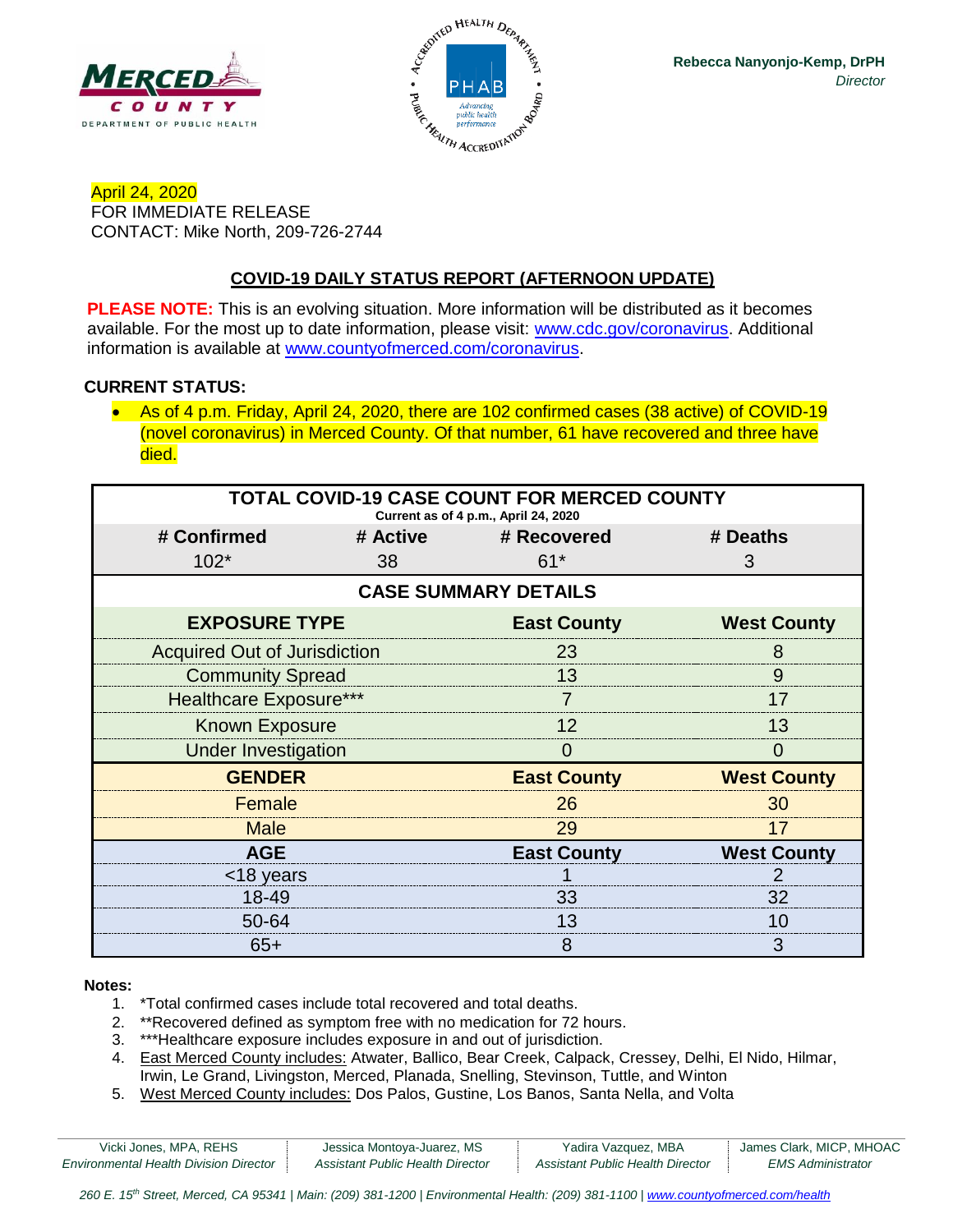



April 24, 2020 FOR IMMEDIATE RELEASE CONTACT: Mike North, 209-726-2744

# **COVID-19 DAILY STATUS REPORT (AFTERNOON UPDATE)**

**PLEASE NOTE:** This is an evolving situation. More information will be distributed as it becomes available. For the most up to date information, please visit: [www.cdc.gov/coronavirus.](http://www.cdc.gov/coronavirus) Additional information is available at [www.countyofmerced.com/coronavirus.](http://www.countyofmerced.com/coronavirus)

#### **CURRENT STATUS:**

• As of 4 p.m. Friday, April 24, 2020, there are 102 confirmed cases (38 active) of COVID-19 (novel coronavirus) in Merced County. Of that number, 61 have recovered and three have died.

| <b>TOTAL COVID-19 CASE COUNT FOR MERCED COUNTY</b><br>Current as of 4 p.m., April 24, 2020 |    |                      |                    |  |  |  |
|--------------------------------------------------------------------------------------------|----|----------------------|--------------------|--|--|--|
| # Confirmed                                                                                |    | # Active # Recovered | # Deaths           |  |  |  |
| $102*$                                                                                     | 38 | $61*$                | 3                  |  |  |  |
| <b>CASE SUMMARY DETAILS</b>                                                                |    |                      |                    |  |  |  |
| <b>EXPOSURE TYPE</b>                                                                       |    | <b>East County</b>   | <b>West County</b> |  |  |  |
| <b>Acquired Out of Jurisdiction</b>                                                        |    | 23                   | 8                  |  |  |  |
| <b>Community Spread</b>                                                                    |    | 13                   | 9                  |  |  |  |
| <b>Healthcare Exposure***</b>                                                              |    |                      | 17                 |  |  |  |
| <b>Known Exposure</b>                                                                      |    | 12                   | 13                 |  |  |  |
| <b>Under Investigation</b>                                                                 |    | 0                    | $\mathbf{\Omega}$  |  |  |  |
| <b>GENDER</b>                                                                              |    | <b>East County</b>   | <b>West County</b> |  |  |  |
| Female                                                                                     |    | 26                   | 30                 |  |  |  |
| <b>Male</b>                                                                                |    | 29                   | 17                 |  |  |  |
| <b>AGE</b>                                                                                 |    | <b>East County</b>   | <b>West County</b> |  |  |  |
| <18 years                                                                                  |    |                      |                    |  |  |  |
| 18-49                                                                                      |    | 33                   | 32                 |  |  |  |
| 50-64                                                                                      |    | 13                   | 10                 |  |  |  |
| $65+$                                                                                      |    | 8                    | 3                  |  |  |  |

#### **Notes:**

- 1. \*Total confirmed cases include total recovered and total deaths.
- 2. \*\*Recovered defined as symptom free with no medication for 72 hours.
- 3. \*\*\*Healthcare exposure includes exposure in and out of jurisdiction.
- 4. East Merced County includes: Atwater, Ballico, Bear Creek, Calpack, Cressey, Delhi, El Nido, Hilmar, Irwin, Le Grand, Livingston, Merced, Planada, Snelling, Stevinson, Tuttle, and Winton
- 5. West Merced County includes: Dos Palos, Gustine, Los Banos, Santa Nella, and Volta

| Vicki Jones, MPA, REHS                        | Jessica Montoya-Juarez, MS       | Yadira Vazquez, MBA              | James Clark, MICP, MHOAC |
|-----------------------------------------------|----------------------------------|----------------------------------|--------------------------|
| <b>Environmental Health Division Director</b> | Assistant Public Health Director | Assistant Public Health Director | EMS Administrator        |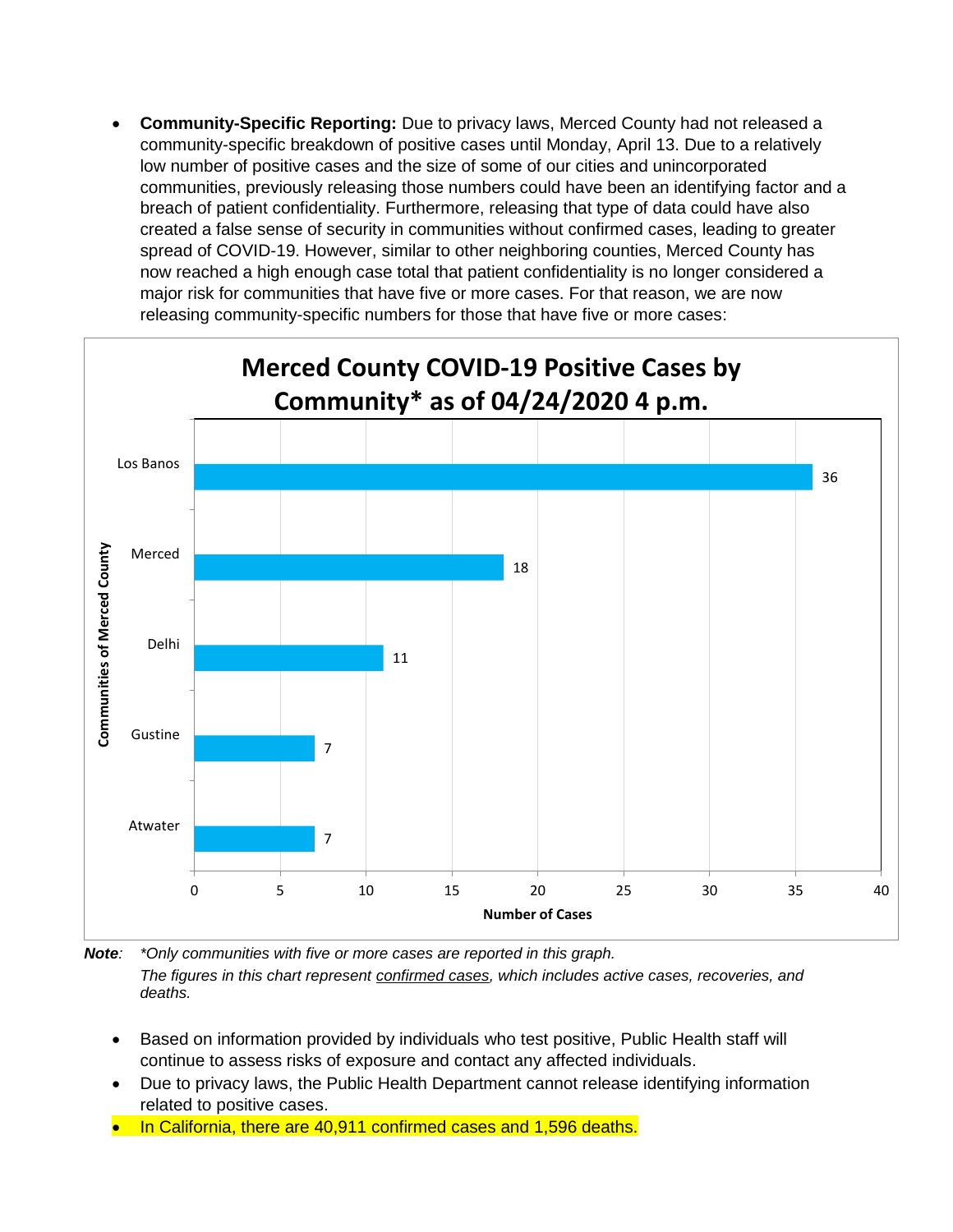• **Community-Specific Reporting:** Due to privacy laws, Merced County had not released a community-specific breakdown of positive cases until Monday, April 13. Due to a relatively low number of positive cases and the size of some of our cities and unincorporated communities, previously releasing those numbers could have been an identifying factor and a breach of patient confidentiality. Furthermore, releasing that type of data could have also created a false sense of security in communities without confirmed cases, leading to greater spread of COVID-19. However, similar to other neighboring counties, Merced County has now reached a high enough case total that patient confidentiality is no longer considered a major risk for communities that have five or more cases. For that reason, we are now releasing community-specific numbers for those that have five or more cases:



*Note: \*Only communities with five or more cases are reported in this graph. The figures in this chart represent confirmed cases, which includes active cases, recoveries, and deaths.*

- Based on information provided by individuals who test positive, Public Health staff will continue to assess risks of exposure and contact any affected individuals.
- Due to privacy laws, the Public Health Department cannot release identifying information related to positive cases.
- In California, there are 40,911 confirmed cases and 1,596 deaths.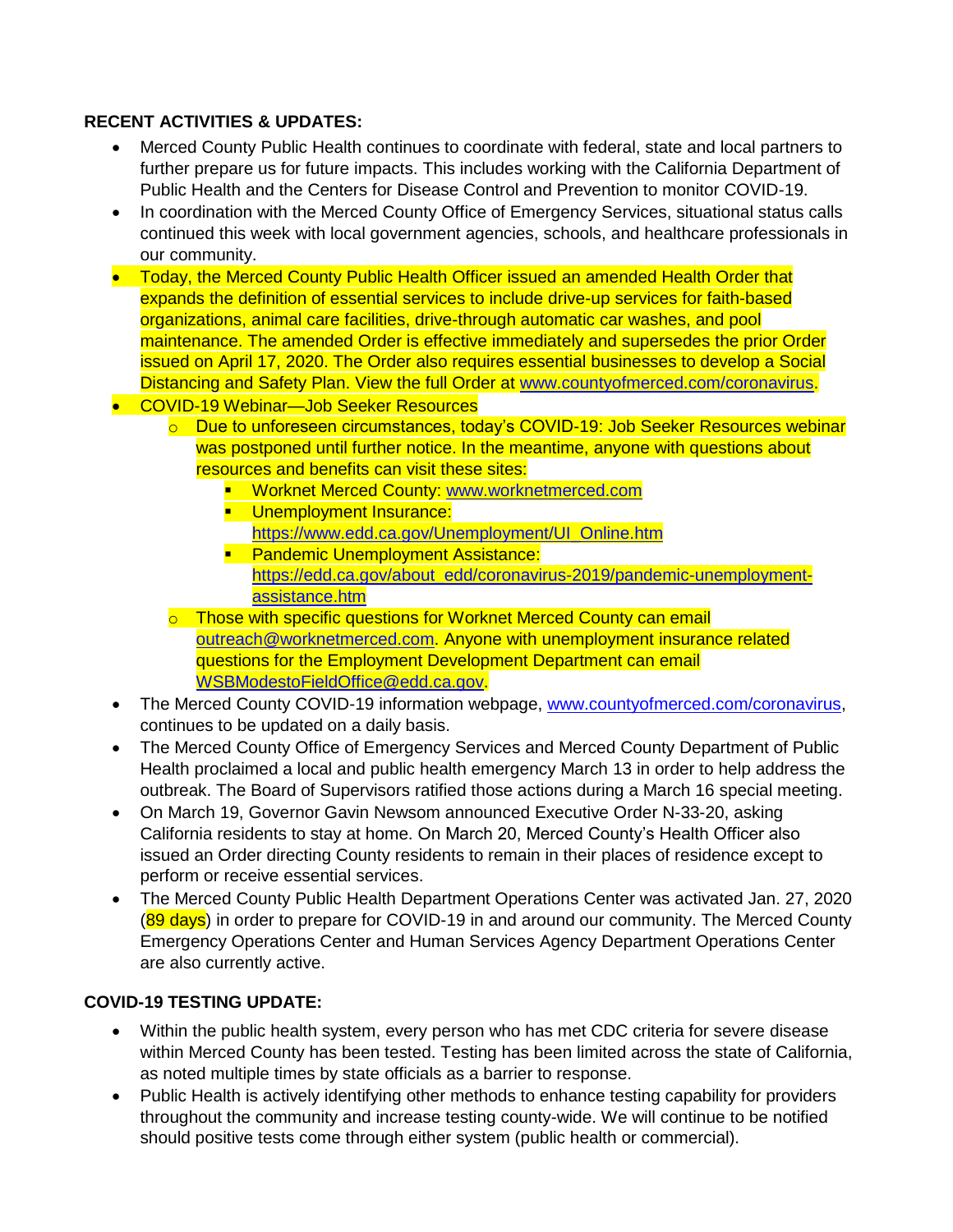## **RECENT ACTIVITIES & UPDATES:**

- Merced County Public Health continues to coordinate with federal, state and local partners to further prepare us for future impacts. This includes working with the California Department of Public Health and the Centers for Disease Control and Prevention to monitor COVID-19.
- In coordination with the Merced County Office of Emergency Services, situational status calls continued this week with local government agencies, schools, and healthcare professionals in our community.
- Today, the Merced County Public Health Officer issued an amended Health Order that expands the definition of essential services to include drive-up services for faith-based organizations, animal care facilities, drive-through automatic car washes, and pool maintenance. The amended Order is effective immediately and supersedes the prior Order issued on April 17, 2020. The Order also requires essential businesses to develop a Social Distancing and Safety Plan. View the full Order at [www.countyofmerced.com/coronavirus.](http://www.countyofmerced.com/coronavirus)
- COVID-19 Webinar—Job Seeker Resources
	- o Due to unforeseen circumstances, today's COVID-19: Job Seeker Resources webinar was postponed until further notice. In the meantime, anyone with questions about resources and benefits can visit these sites:
		- **E** Worknet Merced County: [www.worknetmerced.com](http://www.worknetmerced.com/)
		- **■** Unemployment Insurance: [https://www.edd.ca.gov/Unemployment/UI\\_Online.htm](https://www.edd.ca.gov/Unemployment/UI_Online.htm)
		- **Pandemic Unemployment Assistance:** [https://edd.ca.gov/about\\_edd/coronavirus-2019/pandemic-unemployment](https://edd.ca.gov/about_edd/coronavirus-2019/pandemic-unemployment-assistance.htm)[assistance.htm](https://edd.ca.gov/about_edd/coronavirus-2019/pandemic-unemployment-assistance.htm)
	- o Those with specific questions for Worknet Merced County can email [outreach@worknetmerced.com.](mailto:outreach@worknetmerced.com) Anyone with unemployment insurance related questions for the Employment Development Department can email [WSBModestoFieldOffice@edd.ca.gov.](mailto:WSBModestoFieldOffice@edd.ca.gov)
- The Merced County COVID-19 information webpage, [www.countyofmerced.com/coronavirus,](http://www.countyofmerced.com/coronavirus) continues to be updated on a daily basis.
- The Merced County Office of Emergency Services and Merced County Department of Public Health proclaimed a local and public health emergency March 13 in order to help address the outbreak. The Board of Supervisors ratified those actions during a March 16 special meeting.
- On March 19, Governor Gavin Newsom announced Executive Order N-33-20, asking California residents to stay at home. On March 20, Merced County's Health Officer also issued an Order directing County residents to remain in their places of residence except to perform or receive essential services.
- The Merced County Public Health Department Operations Center was activated Jan. 27, 2020 (89 days) in order to prepare for COVID-19 in and around our community. The Merced County Emergency Operations Center and Human Services Agency Department Operations Center are also currently active.

## **COVID-19 TESTING UPDATE:**

- Within the public health system, every person who has met CDC criteria for severe disease within Merced County has been tested. Testing has been limited across the state of California, as noted multiple times by state officials as a barrier to response.
- Public Health is actively identifying other methods to enhance testing capability for providers throughout the community and increase testing county-wide. We will continue to be notified should positive tests come through either system (public health or commercial).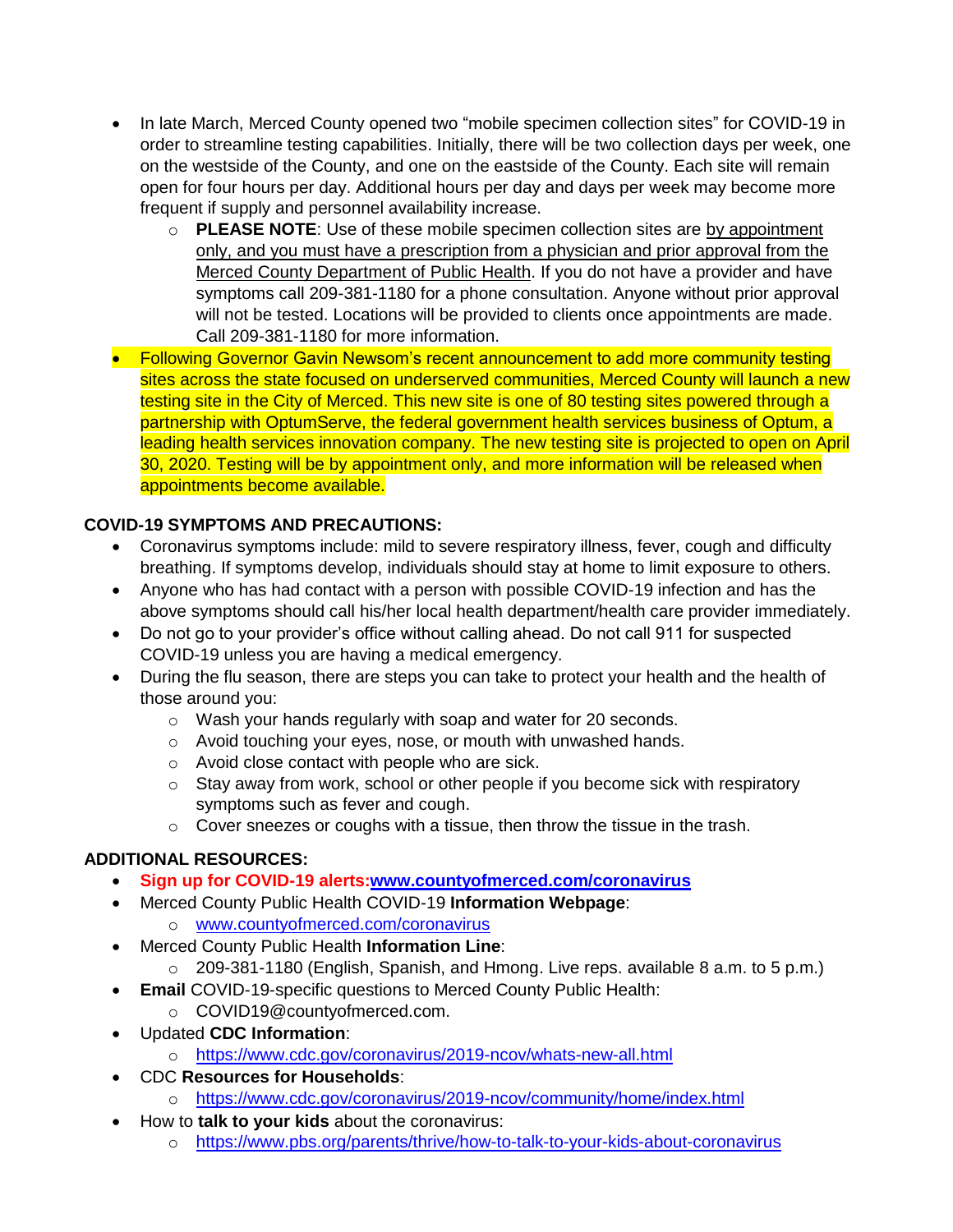- In late March, Merced County opened two "mobile specimen collection sites" for COVID-19 in order to streamline testing capabilities. Initially, there will be two collection days per week, one on the westside of the County, and one on the eastside of the County. Each site will remain open for four hours per day. Additional hours per day and days per week may become more frequent if supply and personnel availability increase.
	- o **PLEASE NOTE**: Use of these mobile specimen collection sites are by appointment only, and you must have a prescription from a physician and prior approval from the Merced County Department of Public Health. If you do not have a provider and have symptoms call 209-381-1180 for a phone consultation. Anyone without prior approval will not be tested. Locations will be provided to clients once appointments are made. Call 209-381-1180 for more information.
- Following Governor Gavin Newsom's recent announcement to add more community testing sites across the state focused on underserved communities, Merced County will launch a new testing site in the City of Merced. This new site is one of 80 testing sites powered through a partnership with OptumServe, the federal government health services business of Optum, a leading health services innovation company. The new testing site is projected to open on April 30, 2020. Testing will be by appointment only, and more information will be released when appointments become available.

# **COVID-19 SYMPTOMS AND PRECAUTIONS:**

- Coronavirus symptoms include: mild to severe respiratory illness, fever, cough and difficulty breathing. If symptoms develop, individuals should stay at home to limit exposure to others.
- Anyone who has had contact with a person with possible COVID-19 infection and has the above symptoms should call his/her local health department/health care provider immediately.
- Do not go to your provider's office without calling ahead. Do not call 911 for suspected COVID-19 unless you are having a medical emergency.
- During the flu season, there are steps you can take to protect your health and the health of those around you:
	- o Wash your hands regularly with soap and water for 20 seconds.
	- o Avoid touching your eyes, nose, or mouth with unwashed hands.
	- o Avoid close contact with people who are sick.
	- $\circ$  Stay away from work, school or other people if you become sick with respiratory symptoms such as fever and cough.
	- $\circ$  Cover sneezes or coughs with a tissue, then throw the tissue in the trash.

## **ADDITIONAL RESOURCES:**

- **Sign up for COVID-19 alerts[:www.countyofmerced.com/coronavirus](http://www.countyofmerced.com/coronavirus)**
- Merced County Public Health COVID-19 **Information Webpage**:
	- o [www.countyofmerced.com/coronavirus](http://www.countyofmerced.com/coronavirus)
- Merced County Public Health **Information Line**:
	- o 209-381-1180 (English, Spanish, and Hmong. Live reps. available 8 a.m. to 5 p.m.)
- **Email** COVID-19-specific questions to Merced County Public Health:
	- o COVID19@countyofmerced.com.
- Updated **CDC Information**:
	- o <https://www.cdc.gov/coronavirus/2019-ncov/whats-new-all.html>
- CDC **Resources for Households**:
	- o <https://www.cdc.gov/coronavirus/2019-ncov/community/home/index.html>
- How to **talk to your kids** about the coronavirus:
	- o <https://www.pbs.org/parents/thrive/how-to-talk-to-your-kids-about-coronavirus>